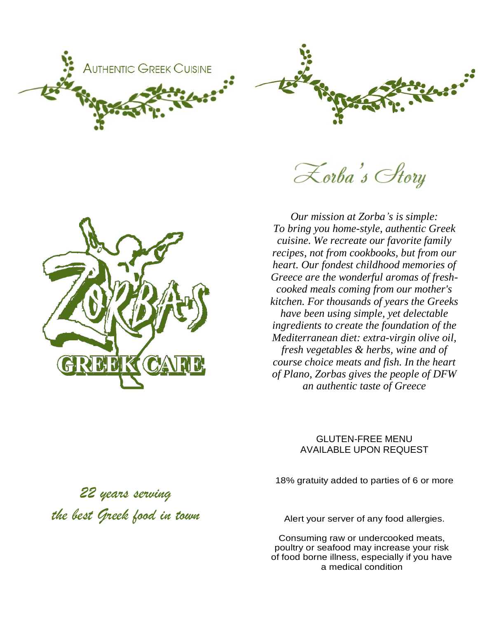

Lorba's Story

*Our mission at Zorba's is simple: To bring you home-style, authentic Greek cuisine. We recreate our favorite family recipes, not from cookbooks, but from our heart. Our fondest childhood memories of Greece are the wonderful aromas of freshcooked meals coming from our mother's kitchen. For thousands of years the Greeks have been using simple, yet delectable ingredients to create the foundation of the Mediterranean diet: extra-virgin olive oil, fresh vegetables & herbs, wine and of course choice meats and fish. In the heart of Plano, Zorbas gives the people of DFW an authentic taste of Greece*

## GLUTEN-FREE MENU AVAILABLE UPON REQUEST

18% gratuity added to parties of 6 or more

*22 years serving the best Greek food in town*

Alert your server of any food allergies.

Consuming raw or undercooked meats, poultry or seafood may increase your risk of food borne illness, especially if you have a medical condition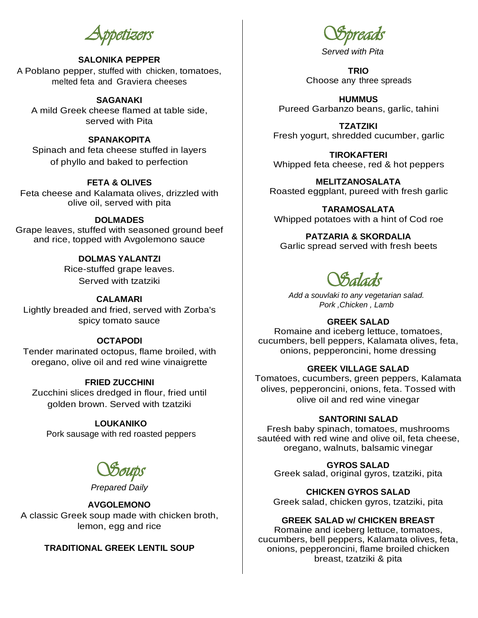*Appetizers* 

## **SALONIKA PEPPER**

A Poblano pepper, stuffed with chicken, tomatoes, melted feta and Graviera cheeses

## **SAGANAKI**

A mild Greek cheese flamed at table side, served with Pita

## **SPANAKOPITA**

Spinach and feta cheese stuffed in layers of phyllo and baked to perfection

## **FETA & OLIVES**

Feta cheese and Kalamata olives, drizzled with olive oil, served with pita

## **DOLMADES**

Grape leaves, stuffed with seasoned ground beef and rice, topped with Avgolemono sauce

## **DOLMAS YALANTZI**

Rice-stuffed grape leaves. Served with tzatziki

#### **CALAMARI**

Lightly breaded and fried, served with Zorba's spicy tomato sauce

### **OCTAPODI**

Tender marinated octopus, flame broiled, with oregano, olive oil and red wine vinaigrette

## **FRIED ZUCCHINI**

Zucchini slices dredged in flour, fried until golden brown. Served with tzatziki

#### **LOUKANIKO**

Pork sausage with red roasted peppers

*Soups* 

*Prepared Daily*

### **AVGOLEMONO**

A classic Greek soup made with chicken broth, lemon, egg and rice

## **TRADITIONAL GREEK LENTIL SOUP**

*Spreads* 

*Served with Pita*

**TRIO** Choose any three spreads

**HUMMUS** Pureed Garbanzo beans, garlic, tahini

**TZATZIKI** Fresh yogurt, shredded cucumber, garlic

**TIROKAFTERI** Whipped feta cheese, red & hot peppers

**MELITZANOSALATA** Roasted eggplant, pureed with fresh garlic

**TARAMOSALATA** Whipped potatoes with a hint of Cod roe

**PATZARIA & SKORDALIA** Garlic spread served with fresh beets

# *Salads*

*Add a souvlaki to any vegetarian salad. Pork ,Chicken , Lamb* 

#### **GREEK SALAD**

Romaine and iceberg lettuce, tomatoes, cucumbers, bell peppers, Kalamata olives, feta, onions, pepperoncini, home dressing

#### **GREEK VILLAGE SALAD**

Tomatoes, cucumbers, green peppers, Kalamata olives, pepperoncini, onions, feta. Tossed with olive oil and red wine vinegar

#### **SANTORINI SALAD**

Fresh baby spinach, tomatoes, mushrooms sautéed with red wine and olive oil, feta cheese, oregano, walnuts, balsamic vinegar

**GYROS SALAD** Greek salad, original gyros, tzatziki, pita

**CHICKEN GYROS SALAD** Greek salad, chicken gyros, tzatziki, pita

#### **GREEK SALAD w/ CHICKEN BREAST**

Romaine and iceberg lettuce, tomatoes, cucumbers, bell peppers, Kalamata olives, feta, onions, pepperoncini, flame broiled chicken breast, tzatziki & pita